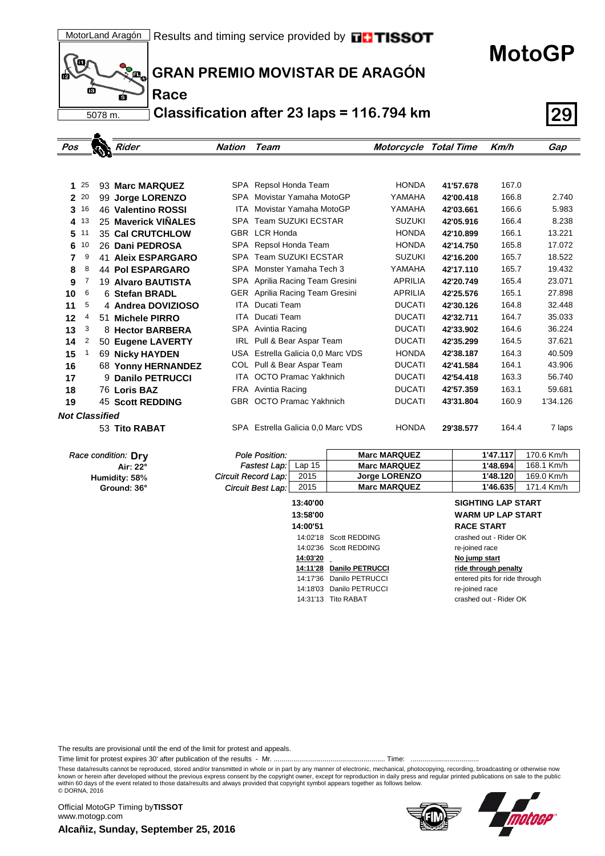

**Race**

**GRAN PREMIO MOVISTAR DE ARAGÓN**

**Classification after 23 laps = 116.794 km 29**

| Pos                   |    |    | Rider                   | <b>Nation</b> | Team                              | Motorcycle Total Time |           | Km/h  | Gap      |
|-----------------------|----|----|-------------------------|---------------|-----------------------------------|-----------------------|-----------|-------|----------|
|                       |    |    |                         |               |                                   |                       |           |       |          |
|                       |    |    |                         |               |                                   |                       |           |       |          |
| 1                     | 25 |    | 93 Marc MARQUEZ         |               | SPA Repsol Honda Team             | <b>HONDA</b>          | 41'57.678 | 167.0 |          |
| $\overline{2}$        | 20 |    | 99 Jorge LORENZO        | SPA           | Movistar Yamaha MotoGP            | YAMAHA                | 42'00.418 | 166.8 | 2.740    |
| 3                     | 16 |    | 46 Valentino ROSSI      | <b>ITA</b>    | Movistar Yamaha MotoGP            | YAMAHA                | 42'03.661 | 166.6 | 5.983    |
| 4                     | 13 |    | 25 Maverick VIÑALES     | <b>SPA</b>    | <b>Team SUZUKI ECSTAR</b>         | <b>SUZUKI</b>         | 42'05.916 | 166.4 | 8.238    |
| 5                     | 11 |    | <b>35 Cal CRUTCHLOW</b> |               | GBR LCR Honda                     | <b>HONDA</b>          | 42'10.899 | 166.1 | 13.221   |
| 6                     | 10 |    | 26 Dani PEDROSA         | SPA           | Repsol Honda Team                 | <b>HONDA</b>          | 42'14.750 | 165.8 | 17.072   |
| 7                     | 9  | 41 | <b>Aleix ESPARGARO</b>  | <b>SPA</b>    | Team SUZUKI ECSTAR                | <b>SUZUKI</b>         | 42'16.200 | 165.7 | 18.522   |
| 8                     | 8  |    | <b>44 Pol ESPARGARO</b> | SPA           | Monster Yamaha Tech 3             | YAMAHA                | 42'17.110 | 165.7 | 19.432   |
| 9                     | 7  |    | 19 Alvaro BAUTISTA      | SPA           | Aprilia Racing Team Gresini       | <b>APRILIA</b>        | 42'20.749 | 165.4 | 23.071   |
| 10                    | 6  |    | 6 Stefan BRADL          | GER           | Aprilia Racing Team Gresini       | <b>APRILIA</b>        | 42'25.576 | 165.1 | 27.898   |
| 11                    | 5  |    | 4 Andrea DOVIZIOSO      | ITA           | Ducati Team                       | <b>DUCATI</b>         | 42'30.126 | 164.8 | 32.448   |
| 12                    | 4  |    | 51 Michele PIRRO        | ITA           | Ducati Team                       | <b>DUCATI</b>         | 42'32.711 | 164.7 | 35.033   |
| 13                    | 3  |    | 8 Hector BARBERA        |               | SPA Avintia Racing                | <b>DUCATI</b>         | 42'33.902 | 164.6 | 36.224   |
| 14                    | 2  |    | 50 Eugene LAVERTY       | IRL           | Pull & Bear Aspar Team            | <b>DUCATI</b>         | 42'35.299 | 164.5 | 37.621   |
| 15                    | 1  |    | 69 Nicky HAYDEN         |               | USA Estrella Galicia 0.0 Marc VDS | <b>HONDA</b>          | 42'38.187 | 164.3 | 40.509   |
| 16                    |    |    | 68 Yonny HERNANDEZ      |               | COL Pull & Bear Aspar Team        | <b>DUCATI</b>         | 42'41.584 | 164.1 | 43.906   |
| 17                    |    |    | 9 Danilo PETRUCCI       | ITA           | <b>OCTO Pramac Yakhnich</b>       | <b>DUCATI</b>         | 42'54.418 | 163.3 | 56.740   |
| 18                    |    |    | 76 Loris BAZ            |               | FRA Avintia Racing                | <b>DUCATI</b>         | 42'57.359 | 163.1 | 59.681   |
| 19                    |    |    | <b>45 Scott REDDING</b> |               | GBR OCTO Pramac Yakhnich          | <b>DUCATI</b>         | 43'31.804 | 160.9 | 1'34.126 |
| <b>Not Classified</b> |    |    |                         |               |                                   |                       |           |       |          |
|                       |    |    | 53 Tito RABAT           |               | SPA Estrella Galicia 0.0 Marc VDS | <b>HONDA</b>          | 29'38.577 | 164.4 | 7 laps   |

| Race condition: Dry | Pole Position:             |          | <b>Marc MARQUEZ</b>  | 1'47.117 | 170.6 Km/h |
|---------------------|----------------------------|----------|----------------------|----------|------------|
| Air: 22°            | Fastest Lap:               | Lap 15   | <b>Marc MARQUEZ</b>  | 1'48.694 | 168.1 Km/h |
| Humidity: 58%       | <b>Circuit Record Lap:</b> | 2015     | <b>Jorge LORENZO</b> | 1'48.120 | 169.0 Km/h |
| Ground: 36°         | Circuit Best Lap:          | 2015     | <b>Marc MARQUEZ</b>  | 1'46.635 | 171.4 Km/h |
|                     |                            | 10.10100 |                      |          |            |

| 13.40 UU |                          |
|----------|--------------------------|
| 13:58'00 |                          |
| 14:00'51 |                          |
|          | 14:02'18 Scott REDDING   |
|          | 14:02'36 Scott REDDING   |
| 14:03'20 |                          |
|          | 14:11'28 Danilo PETRUCCI |
|          | 14:17'36 Danilo PETRUCCI |
|          | 14:18'03 Danilo PETRUCCI |
|          | 14:31'13 Tito RABAT      |

## **13:40'00 SIGHTING LAP START 13:58'00 WARM UP LAP START**

**14:00'51 RACE START** crashed out - Rider OK re-joined race **No jump start 14:11'28 Danilo PETRUCCI ride through penalty** entered pits for ride through re-joined race crashed out - Rider OK

The results are provisional until the end of the limit for protest and appeals.

Time limit for protest expires 30' after publication of the results - Mr. ......................................................... Time: ...................................

These data/results cannot be reproduced, stored and/or transmitted in whole or in part by any manner of electronic, mechanical, photocopying, recording, broadcasting or otherwise now<br>known or herein after developed without

within 60 days of the event related to those data/results and always provided that copyright symbol appears together as follows below. © DORNA, 2016

**Alcañiz, Sunday, September 25, 2016** Official MotoGP Timing by **TISSOT**www.motogp.com





**MotoGP**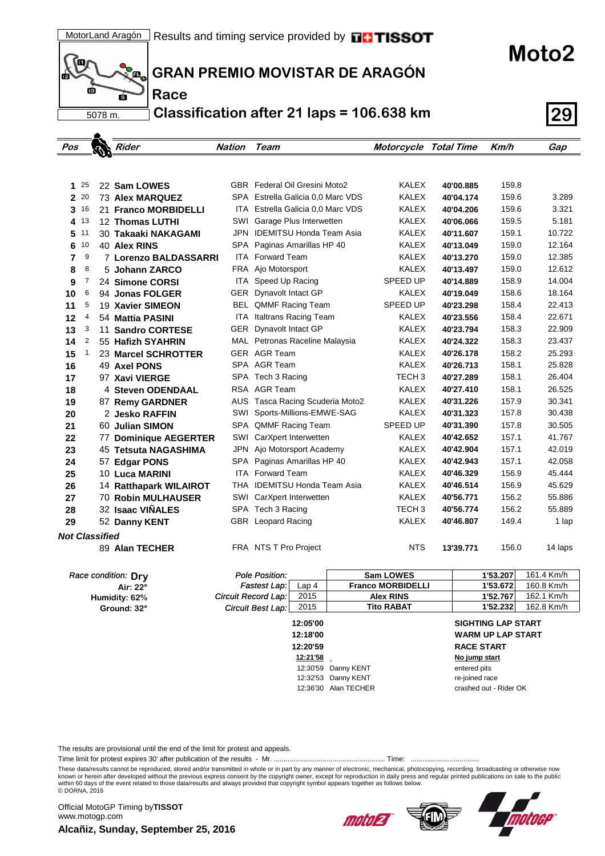(o ГŔ ś 5078 m.

. .

**Race**

**GRAN PREMIO MOVISTAR DE ARAGÓN**

**Classification after 21 laps = 106.638 km 29**

| Pos                   |              | ويته | k <i>Rider</i>            | Nation | Team                                 |                  | <b>Motorcycle Total Time</b> |           | Km/h     | Gap        |
|-----------------------|--------------|------|---------------------------|--------|--------------------------------------|------------------|------------------------------|-----------|----------|------------|
|                       |              |      |                           |        |                                      |                  |                              |           |          |            |
|                       |              |      |                           |        |                                      |                  |                              |           |          |            |
| 25<br>1               |              |      | 22 Sam LOWES              |        | <b>GBR</b> Federal Oil Gresini Moto2 |                  | <b>KALEX</b>                 | 40'00.885 | 159.8    |            |
| 20<br>$\mathbf{2}$    |              |      | 73 Alex MARQUEZ           |        | SPA Estrella Galicia 0.0 Marc VDS    |                  | <b>KALEX</b>                 | 40'04.174 | 159.6    | 3.289      |
| 16<br>3               |              |      | 21 Franco MORBIDELLI      |        | ITA Estrella Galicia 0.0 Marc VDS    |                  | <b>KALEX</b>                 | 40'04.206 | 159.6    | 3.321      |
| 4 13                  |              |      | 12 Thomas LUTHI           | SWI    | Garage Plus Interwetten              |                  | <b>KALEX</b>                 | 40'06.066 | 159.5    | 5.181      |
| 11<br>5               |              |      | 30 Takaaki NAKAGAMI       |        | JPN IDEMITSU Honda Team Asia         |                  | KALEX                        | 40'11.607 | 159.1    | 10.722     |
| 10<br>6               |              |      | 40 Alex RINS              | SPA    | Paginas Amarillas HP 40              |                  | KALEX                        | 40'13.049 | 159.0    | 12.164     |
| 7                     | 9            |      | 7 Lorenzo BALDASSARRI     |        | <b>ITA</b> Forward Team              |                  | <b>KALEX</b>                 | 40'13.270 | 159.0    | 12.385     |
| 8                     | 8            |      | 5 Johann ZARCO            |        | FRA Ajo Motorsport                   |                  | <b>KALEX</b>                 | 40'13.497 | 159.0    | 12.612     |
| 9                     | 7            |      | 24 Simone CORSI           | ITA    | Speed Up Racing                      |                  | SPEED UP                     | 40'14.889 | 158.9    | 14.004     |
| 10                    | 6            |      | 94 Jonas FOLGER           |        | GER Dynavolt Intact GP               |                  | KALEX                        | 40'19.049 | 158.6    | 18.164     |
| 11                    | 5            |      | 19 Xavier SIMEON          |        | BEL QMMF Racing Team                 |                  | SPEED UP                     | 40'23.298 | 158.4    | 22.413     |
| 12                    | 4            |      | 54 Mattia PASINI          |        | ITA Italtrans Racing Team            |                  | KALEX                        | 40'23.556 | 158.4    | 22.671     |
| 13                    | 3            |      | 11 Sandro CORTESE         |        | GER Dynavolt Intact GP               |                  | KALEX                        | 40'23.794 | 158.3    | 22.909     |
| 14                    | 2            |      | 55 Hafizh SYAHRIN         |        | MAL Petronas Raceline Malaysia       |                  | KALEX                        | 40'24.322 | 158.3    | 23.437     |
| 15                    | $\mathbf{1}$ |      | 23 Marcel SCHROTTER       |        | GER AGR Team                         |                  | <b>KALEX</b>                 | 40'26.178 | 158.2    | 25.293     |
| 16                    |              |      | 49 Axel PONS              |        | SPA AGR Team                         |                  | <b>KALEX</b>                 | 40'26.713 | 158.1    | 25.828     |
| 17                    |              |      | 97 Xavi VIERGE            |        | SPA Tech 3 Racing                    |                  | TECH <sub>3</sub>            | 40'27.289 | 158.1    | 26.404     |
| 18                    |              |      | 4 Steven ODENDAAL         |        | RSA AGR Team                         |                  | <b>KALEX</b>                 | 40'27.410 | 158.1    | 26.525     |
| 19                    |              |      | 87 Remy GARDNER           |        | AUS Tasca Racing Scuderia Moto2      |                  | <b>KALEX</b>                 | 40'31.226 | 157.9    | 30.341     |
| 20                    |              |      | 2  Jesko RAFFIN           | SWI    | Sports-Millions-EMWE-SAG             |                  | KALEX                        | 40'31.323 | 157.8    | 30.438     |
| 21                    |              |      | 60 Julian SIMON           |        | SPA QMMF Racing Team                 |                  | <b>SPEED UP</b>              | 40'31.390 | 157.8    | 30.505     |
| 22                    |              |      | 77 Dominique AEGERTER     | SWI    | CarXpert Interwetten                 |                  | KALEX                        | 40'42.652 | 157.1    | 41.767     |
| 23                    |              |      | 45 Tetsuta NAGASHIMA      |        | JPN Ajo Motorsport Academy           |                  | KALEX                        | 40'42.904 | 157.1    | 42.019     |
| 24                    |              |      | 57 Edgar PONS             | SPA    | Paginas Amarillas HP 40              |                  | <b>KALEX</b>                 | 40'42.943 | 157.1    | 42.058     |
| 25                    |              |      | 10 Luca MARINI            |        | ITA Forward Team                     |                  | <b>KALEX</b>                 | 40'46.329 | 156.9    | 45.444     |
| 26                    |              |      | 14 Ratthapark WILAIROT    |        | THA IDEMITSU Honda Team Asia         |                  | KALEX                        | 40'46.514 | 156.9    | 45.629     |
| 27                    |              |      | <b>70 Robin MULHAUSER</b> | SWI    | CarXpert Interwetten                 |                  | KALEX                        | 40'56.771 | 156.2    | 55.886     |
| 28                    |              |      | 32 Isaac VIÑALES          |        | SPA Tech 3 Racing                    |                  | TECH <sub>3</sub>            | 40'56.774 | 156.2    | 55.889     |
| 29                    |              |      | 52 Danny KENT             |        | GBR Leopard Racing                   |                  | <b>KALEX</b>                 | 40'46.807 | 149.4    | 1 lap      |
| <b>Not Classified</b> |              |      |                           |        |                                      |                  |                              |           |          |            |
|                       |              |      | 89 Alan TECHER            |        | FRA NTS T Pro Project                |                  | <b>NTS</b>                   | 13'39.771 | 156.0    | 14 laps    |
|                       |              |      | Race condition: Dry       |        | <b>Pole Position:</b>                |                  | Sam LOWES                    |           | 1'53.207 | 161.4 Km/h |
|                       |              |      | Air: 22°                  |        | Fastest Lap:                         | Lap <sub>4</sub> | <b>Franco MORBIDELLI</b>     |           | 1'53.672 | 160.8 Km/h |
|                       |              |      | Humidity: 62%             |        | Circuit Record Lap:                  | 2015             | <b>Alex RINS</b>             |           | 1'52.767 | 162.1 Km/h |
|                       |              |      | Ground: 32°               |        | Circuit Best Lap:                    | 2015             | Tito RABAT                   |           | 1'52.232 | 162.8 Km/h |

**Ground: 32°**

| 12:05'00 |                      | <b>SIGHTING LAP START</b> |
|----------|----------------------|---------------------------|
| 12:18'00 |                      | <b>WARM UP LAP START</b>  |
| 12:20'59 |                      | <b>RACE START</b>         |
| 12:21'58 |                      | No jump start             |
|          | 12:30'59 Danny KENT  | entered pits              |
|          | 12:32'53 Danny KENT  | re-joined race            |
|          | 12:36'30 Alan TECHER | crashed out - Rider OK    |

The results are provisional until the end of the limit for protest and appeals.

Time limit for protest expires 30' after publication of the results - Mr. ......................................................... Time: ...................................

These data/results cannot be reproduced, stored and/or transmitted in whole or in part by any manner of electronic, mechanical, photocopying, recording, broadcasting or otherwise now<br>known or herein after developed without within 60 days of the event related to those data/results and always provided that copyright symbol appears together as follows below. © DORNA, 2016

**Alcañiz, Sunday, September 25, 2016** Official MotoGP Timing by **TISSOT**www.motogp.com





**Moto2**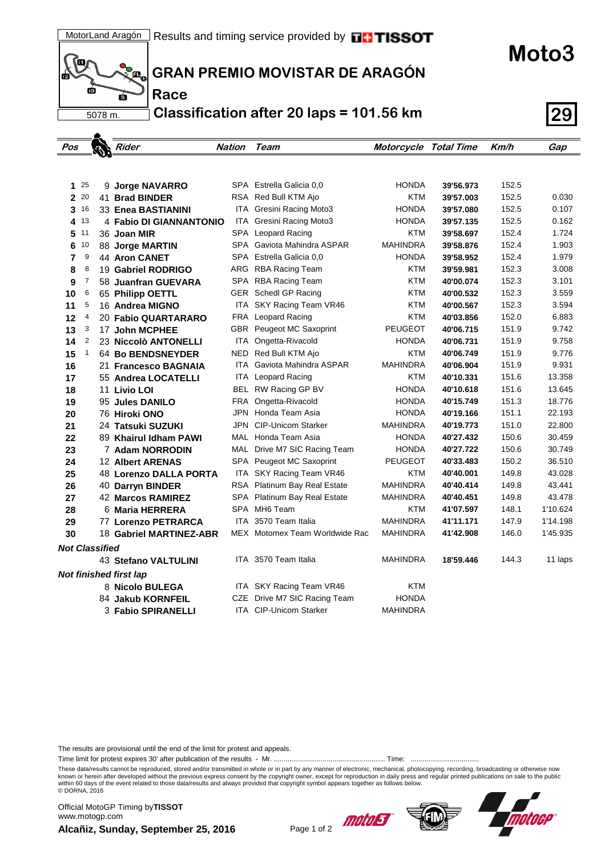

 $\Delta$ 

**Race**

**GRAN PREMIO MOVISTAR DE ARAGÓN**

**Classification after 20 laps = 101.56 km 29**

| Pos                   |                | Rider                    | <b>Nation</b> | Team                            | <b>Motorcycle Total Time</b> |           | Km/h  | Gap      |
|-----------------------|----------------|--------------------------|---------------|---------------------------------|------------------------------|-----------|-------|----------|
|                       |                |                          |               |                                 |                              |           |       |          |
|                       |                |                          |               |                                 |                              |           |       |          |
|                       | $1^{25}$       | 9 Jorge NAVARRO          |               | SPA Estrella Galicia 0,0        | <b>HONDA</b>                 | 39'56.973 | 152.5 |          |
|                       | $2^{20}$       | 41 Brad BINDER           |               | RSA Red Bull KTM Ajo            | KTM                          | 39'57.003 | 152.5 | 0.030    |
|                       | $3^{16}$       | 33 Enea BASTIANINI       | ITA           | Gresini Racing Moto3            | <b>HONDA</b>                 | 39'57.080 | 152.5 | 0.107    |
| 4                     | 13             | 4 Fabio DI GIANNANTONIO  |               | ITA Gresini Racing Moto3        | <b>HONDA</b>                 | 39'57.135 | 152.5 | 0.162    |
| 5                     | 11             | 36 Joan MIR              |               | SPA Leopard Racing              | KTM                          | 39'58.697 | 152.4 | 1.724    |
| 6                     | 10             | 88 Jorge MARTIN          |               | SPA Gaviota Mahindra ASPAR      | <b>MAHINDRA</b>              | 39'58.876 | 152.4 | 1.903    |
| 7                     | 9              | <b>44 Aron CANET</b>     |               | SPA Estrella Galicia 0.0        | <b>HONDA</b>                 | 39'58.952 | 152.4 | 1.979    |
| 8                     | 8              | 19 Gabriel RODRIGO       |               | ARG RBA Racing Team             | KTM                          | 39'59.981 | 152.3 | 3.008    |
| 9                     | 7              | 58 Juanfran GUEVARA      |               | SPA RBA Racing Team             | KTM                          | 40'00.074 | 152.3 | 3.101    |
| 10                    | 6              | 65 Philipp OETTL         |               | GER Schedl GP Racing            | KTM                          | 40'00.532 | 152.3 | 3.559    |
| 11                    | 5              | 16 Andrea MIGNO          | ITA           | SKY Racing Team VR46            | <b>KTM</b>                   | 40'00.567 | 152.3 | 3.594    |
| 12                    | 4              | 20 Fabio QUARTARARO      |               | FRA Leopard Racing              | KTM                          | 40'03.856 | 152.0 | 6.883    |
| 13                    | 3              | 17 John MCPHEE           |               | <b>GBR</b> Peugeot MC Saxoprint | <b>PEUGEOT</b>               | 40'06.715 | 151.9 | 9.742    |
| 14                    | $\overline{2}$ | 23 Niccolò ANTONELLI     | ITA           | Ongetta-Rivacold                | <b>HONDA</b>                 | 40'06.731 | 151.9 | 9.758    |
| 15                    | 1              | <b>64 Bo BENDSNEYDER</b> |               | NED Red Bull KTM Ajo            | <b>KTM</b>                   | 40'06.749 | 151.9 | 9.776    |
| 16                    |                | 21 Francesco BAGNAIA     | ITA           | Gaviota Mahindra ASPAR          | <b>MAHINDRA</b>              | 40'06.904 | 151.9 | 9.931    |
| 17                    |                | 55 Andrea LOCATELLI      |               | <b>ITA</b> Leopard Racing       | <b>KTM</b>                   | 40'10.331 | 151.6 | 13.358   |
| 18                    |                | 11 Livio LOI             |               | BEL RW Racing GP BV             | <b>HONDA</b>                 | 40'10.618 | 151.6 | 13.645   |
| 19                    |                | 95 Jules DANILO          | FRA           | Ongetta-Rivacold                | <b>HONDA</b>                 | 40'15.749 | 151.3 | 18.776   |
| 20                    |                | 76 Hiroki ONO            |               | JPN Honda Team Asia             | <b>HONDA</b>                 | 40'19.166 | 151.1 | 22.193   |
| 21                    |                | 24 Tatsuki SUZUKI        | JPN           | <b>CIP-Unicom Starker</b>       | MAHINDRA                     | 40'19.773 | 151.0 | 22.800   |
| 22                    |                | 89 Khairul Idham PAWI    |               | MAL Honda Team Asia             | <b>HONDA</b>                 | 40'27.432 | 150.6 | 30.459   |
| 23                    |                | 7 Adam NORRODIN          |               | MAL Drive M7 SIC Racing Team    | HONDA                        | 40'27.722 | 150.6 | 30.749   |
| 24                    |                | <b>12 Albert ARENAS</b>  |               | SPA Peugeot MC Saxoprint        | <b>PEUGEOT</b>               | 40'33.483 | 150.2 | 36.510   |
| 25                    |                | 48 Lorenzo DALLA PORTA   |               | ITA SKY Racing Team VR46        | <b>KTM</b>                   | 40'40.001 | 149.8 | 43.028   |
| 26                    |                | 40 Darryn BINDER         |               | RSA Platinum Bay Real Estate    | <b>MAHINDRA</b>              | 40'40.414 | 149.8 | 43.441   |
| 27                    |                | 42 Marcos RAMIREZ        | SPA           | Platinum Bay Real Estate        | <b>MAHINDRA</b>              | 40'40.451 | 149.8 | 43.478   |
| 28                    |                | 6 Maria HERRERA          |               | SPA MH6 Team                    | KTM                          | 41'07.597 | 148.1 | 1'10.624 |
| 29                    |                | 77 Lorenzo PETRARCA      | ITA           | 3570 Team Italia                | <b>MAHINDRA</b>              | 41'11.171 | 147.9 | 1'14.198 |
| 30                    |                | 18 Gabriel MARTINEZ-ABR  |               | MEX Motomex Team Worldwide Rac  | <b>MAHINDRA</b>              | 41'42.908 | 146.0 | 1'45.935 |
| <b>Not Classified</b> |                |                          |               |                                 |                              |           |       |          |
|                       |                | 43 Stefano VALTULINI     |               | ITA 3570 Team Italia            | <b>MAHINDRA</b>              | 18'59.446 | 144.3 | 11 laps  |
|                       |                | Not finished first lap   |               |                                 |                              |           |       |          |
|                       |                | 8 Nicolo BULEGA          |               | ITA SKY Racing Team VR46        | KTM                          |           |       |          |
|                       |                | 84 Jakub KORNFEIL        | CZE           | Drive M7 SIC Racing Team        | <b>HONDA</b>                 |           |       |          |
|                       |                | 3 Fabio SPIRANELLI       |               | <b>ITA CIP-Unicom Starker</b>   | <b>MAHINDRA</b>              |           |       |          |

The results are provisional until the end of the limit for protest and appeals.

Time limit for protest expires 30' after publication of the results - Mr. ......................................................... Time: ...................................

These data/results cannot be reproduced, stored and/or transmitted in whole or in part by any manner of electronic, mechanical, photocopying, recording, broadcasting or otherwise now<br>known or herein after developed without within 60 days of the event related to those data/results and always provided that copyright symbol appears together as follows below. © DORNA, 2016

**Alcañiz, Sunday, September 25, 2016** Page 1 of 2 Official MotoGP Timing by **TISSOT**www.motogp.com







**Moto3**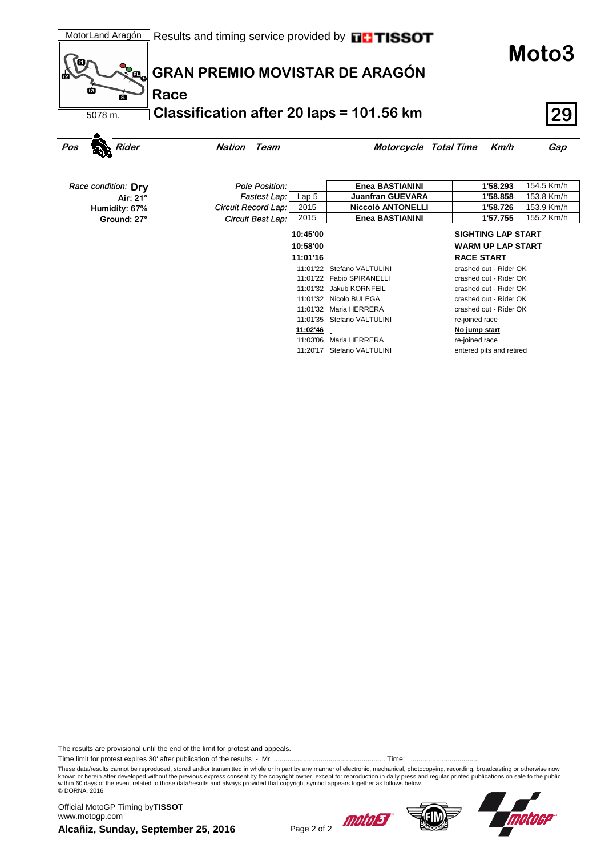**Moto3**



## **GRAN PREMIO MOVISTAR DE ARAGÓN**

**Classification after 20 laps = 101.56 km 29**

```
Pos Rider Nation Team Motorcycle Total Time Km/h Gap
```

| Race condition: Drv | Pole Position:      |                  | <b>Enea BASTIANINI</b>     | 1'58.293                  | 154.5 Km/h |
|---------------------|---------------------|------------------|----------------------------|---------------------------|------------|
| Air: 21°            | Fastest Lap:        | Lap <sub>5</sub> | <b>Juanfran GUEVARA</b>    | 1'58.858                  | 153.8 Km/h |
| Humidity: 67%       | Circuit Record Lap: | 2015             | <b>Niccolò ANTONELLI</b>   | 1'58.726                  | 153.9 Km/h |
| Ground: 27°         | Circuit Best Lap:   | 2015             | <b>Enea BASTIANINI</b>     | 1'57.755                  | 155.2 Km/h |
|                     |                     | 10:45'00         |                            | <b>SIGHTING LAP START</b> |            |
|                     |                     | 10:58'00         |                            | <b>WARM UP LAP START</b>  |            |
|                     |                     | 11:01'16         |                            | <b>RACE START</b>         |            |
|                     |                     | 11:01'22         | Stefano VALTULINI          | crashed out - Rider OK    |            |
|                     |                     |                  | 11:01'22 Fabio SPIRANELLI  | crashed out - Rider OK    |            |
|                     |                     |                  | 11:01'32 Jakub KORNFEIL    | crashed out - Rider OK    |            |
|                     |                     |                  | 11:01'32 Nicolo BULEGA     | crashed out - Rider OK    |            |
|                     |                     |                  | 11:01'32 Maria HERRERA     | crashed out - Rider OK    |            |
|                     |                     | 11:01'35         | Stefano VALTULINI          | re-joined race            |            |
|                     |                     | 11:02'46         |                            | No jump start             |            |
|                     |                     | 11:03'06         | Maria HERRERA              | re-joined race            |            |
|                     |                     |                  | 11:20'17 Stefano VALTULINI | entered pits and retired  |            |

The results are provisional until the end of the limit for protest and appeals.

Time limit for protest expires 30' after publication of the results - Mr. ......................................................... Time: ...................................

These data/results cannot be reproduced, stored and/or transmitted in whole or in part by any manner of electronic, mechanical, photocopying, recording, broadcasting or otherwise now<br>known or herein after developed without within 60 days of the event related to those data/results and always provided that copyright symbol appears together as follows below. © DORNA, 2016

**Alcañiz, Sunday, September 25, 2016** Page 2 of 2 Official MotoGP Timing by **TISSOT**www.motogp.com





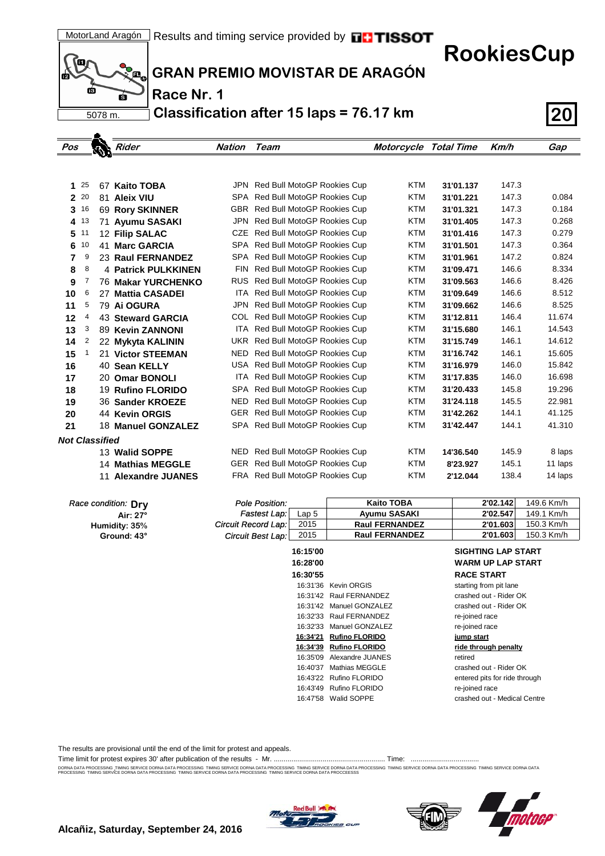**RookiesCup**



**GRAN PREMIO MOVISTAR DE ARAGÓN**

**Race Nr. 1**

**Classification after 15 laps = 76.17 km 20**

| Pos                   |              | Rider                      | Nation | Team                            | <b>Motorcycle Total Time</b> |           | Km/h  | Gap     |
|-----------------------|--------------|----------------------------|--------|---------------------------------|------------------------------|-----------|-------|---------|
|                       |              |                            |        |                                 |                              |           |       |         |
|                       |              |                            |        |                                 |                              |           |       |         |
| 1.                    | 25           | 67 Kaito TOBA              |        | JPN Red Bull MotoGP Rookies Cup | <b>KTM</b>                   | 31'01.137 | 147.3 |         |
| $\overline{2}$        | 20           | 81 Aleix VIU               |        | SPA Red Bull MotoGP Rookies Cup | <b>KTM</b>                   | 31'01.221 | 147.3 | 0.084   |
| 3                     | 16           | 69 Rory SKINNER            |        | GBR Red Bull MotoGP Rookies Cup | <b>KTM</b>                   | 31'01.321 | 147.3 | 0.184   |
| 4 13                  |              | 71 Ayumu SASAKI            |        | JPN Red Bull MotoGP Rookies Cup | <b>KTM</b>                   | 31'01.405 | 147.3 | 0.268   |
| 5                     | 11           | 12 Filip SALAC             |        | CZE Red Bull MotoGP Rookies Cup | <b>KTM</b>                   | 31'01.416 | 147.3 | 0.279   |
| 6                     | 10           | 41 Marc GARCIA             |        | SPA Red Bull MotoGP Rookies Cup | <b>KTM</b>                   | 31'01.501 | 147.3 | 0.364   |
| 7                     | 9            | 23 Raul FERNANDEZ          |        | SPA Red Bull MotoGP Rookies Cup | <b>KTM</b>                   | 31'01.961 | 147.2 | 0.824   |
| 8                     | 8            | <b>4 Patrick PULKKINEN</b> |        | FIN Red Bull MotoGP Rookies Cup | <b>KTM</b>                   | 31'09.471 | 146.6 | 8.334   |
| 9                     | 7            | <b>76 Makar YURCHENKO</b>  |        | RUS Red Bull MotoGP Rookies Cup | <b>KTM</b>                   | 31'09.563 | 146.6 | 8.426   |
| 10                    | 6            | 27 Mattia CASADEI          |        | ITA Red Bull MotoGP Rookies Cup | <b>KTM</b>                   | 31'09.649 | 146.6 | 8.512   |
| 11                    | 5            | 79 Ai OGURA                |        | JPN Red Bull MotoGP Rookies Cup | <b>KTM</b>                   | 31'09.662 | 146.6 | 8.525   |
| 12                    | 4            | 43 Steward GARCIA          |        | COL Red Bull MotoGP Rookies Cup | <b>KTM</b>                   | 31'12.811 | 146.4 | 11.674  |
| 13                    | 3            | 89 Kevin ZANNONI           |        | ITA Red Bull MotoGP Rookies Cup | <b>KTM</b>                   | 31'15.680 | 146.1 | 14.543  |
| 14                    | 2            | 22 Mykyta KALININ          |        | UKR Red Bull MotoGP Rookies Cup | <b>KTM</b>                   | 31'15.749 | 146.1 | 14.612  |
| 15                    | $\mathbf{1}$ | 21 Victor STEEMAN          | NED.   | Red Bull MotoGP Rookies Cup     | <b>KTM</b>                   | 31'16.742 | 146.1 | 15.605  |
| 16                    |              | 40 Sean KELLY              |        | USA Red Bull MotoGP Rookies Cup | <b>KTM</b>                   | 31'16.979 | 146.0 | 15.842  |
| 17                    |              | 20 Omar BONOLI             |        | ITA Red Bull MotoGP Rookies Cup | <b>KTM</b>                   | 31'17.835 | 146.0 | 16.698  |
| 18                    |              | 19 Rufino FLORIDO          |        | SPA Red Bull MotoGP Rookies Cup | <b>KTM</b>                   | 31'20.433 | 145.8 | 19.296  |
| 19                    |              | 36 Sander KROEZE           | NED    | Red Bull MotoGP Rookies Cup     | <b>KTM</b>                   | 31'24.118 | 145.5 | 22.981  |
| 20                    |              | 44 Kevin ORGIS             |        | GER Red Bull MotoGP Rookies Cup | <b>KTM</b>                   | 31'42.262 | 144.1 | 41.125  |
| 21                    |              | 18 Manuel GONZALEZ         |        | SPA Red Bull MotoGP Rookies Cup | <b>KTM</b>                   | 31'42.447 | 144.1 | 41.310  |
| <b>Not Classified</b> |              |                            |        |                                 |                              |           |       |         |
|                       |              | 13 Walid SOPPE             | NED    | Red Bull MotoGP Rookies Cup     | <b>KTM</b>                   | 14'36.540 | 145.9 | 8 laps  |
|                       |              | <b>14 Mathias MEGGLE</b>   |        | GER Red Bull MotoGP Rookies Cup | <b>KTM</b>                   | 8'23.927  | 145.1 | 11 laps |
|                       |              | 11 Alexandre JUANES        |        | FRA Red Bull MotoGP Rookies Cup | <b>KTM</b>                   | 2'12.044  | 138.4 | 14 laps |
|                       |              |                            |        |                                 |                              |           |       |         |

| Race condition: Dry | Pole Position:      |                  | <b>Kaito TOBA</b>     | 2'02.142                      | 149.6 Km/h |
|---------------------|---------------------|------------------|-----------------------|-------------------------------|------------|
| Air: 27°            | Fastest Lap:        | Lap <sub>5</sub> | <b>Ayumu SASAKI</b>   | 2'02.547                      | 149.1 Km/h |
| Humidity: 35%       | Circuit Record Lap: | 2015             | <b>Raul FERNANDEZ</b> | 2'01.603                      | 150.3 Km/h |
| Ground: 43°         | Circuit Best Lap:   | 2015             | <b>Raul FERNANDEZ</b> | 2'01.603                      | 150.3 Km/h |
|                     |                     |                  |                       |                               |            |
|                     |                     | 16:15'00         |                       | <b>SIGHTING LAP START</b>     |            |
|                     |                     | 16:28'00         |                       | <b>WARM UP LAP START</b>      |            |
|                     |                     | 16:30'55         |                       | <b>RACE START</b>             |            |
|                     |                     | 16:31'36         | <b>Kevin ORGIS</b>    | starting from pit lane        |            |
|                     |                     | 16:31'42         | Raul FERNANDEZ        | crashed out - Rider OK        |            |
|                     |                     | 16:31'42         | Manuel GONZALEZ       | crashed out - Rider OK        |            |
|                     |                     | 16:32'33         | Raul FERNANDEZ        | re-joined race                |            |
|                     |                     | 16:32'33         | Manuel GONZALEZ       | re-joined race                |            |
|                     |                     | 16:34'21         | <b>Rufino FLORIDO</b> | jump start                    |            |
|                     |                     | 16:34'39         | <b>Rufino FLORIDO</b> | ride through penalty          |            |
|                     |                     | 16:35'09         | Alexandre JUANES      | retired                       |            |
|                     |                     | 16:40'37         | Mathias MEGGLE        | crashed out - Rider OK        |            |
|                     |                     | 16:43'22         | Rufino FLORIDO        | entered pits for ride through |            |
|                     |                     | 16:43'49         | Rufino FLORIDO        | re-joined race                |            |
|                     |                     |                  | 16:47'58 Walid SOPPE  | crashed out - Medical Centre  |            |

The results are provisional until the end of the limit for protest and appeals.

Time limit for protest expires 30' after publication of the results - Mr. ......................................................... Time: ...................................

DORNA DATA PROCESSING. TIMING SERVICE DORNA DATA PROCESSING TIMING SERVICE DORNA DRA TIMING SERVICE DORNA DATA PROCESSING TIMING SERVICE DORNA DATA PROCESSING TIMING SERVICE DORNA DATA PROCESSING TIMING SERVICE DORNA DATA